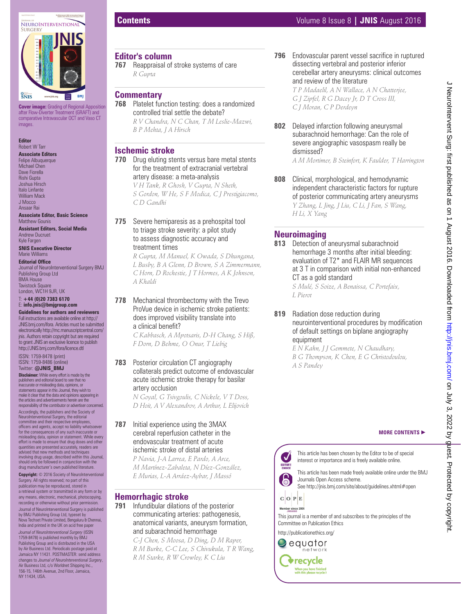

**Cover image:** Grading of Regional Apposition after Flow-Diverter Treatment (GRAFT) and comparative Intravascular OCT and Vaso CT images

#### **Editor** Robert W Tarr

**Associate Editors** Felipe Albuquerque Michael Chen Dave Fiorella Rishi Gupta Joshua Hirsch Italo Linfante William Mack J Mocco Ansaar Rai

#### **Associate Editor, Basic Science** Matthew Gounis

**Assistant Editors, Social Media** Andrew Ducruet Kyle Fargen

**SNIS Executive Director** Marie Williams

#### **Editorial Office**

Journal of NeuroInterventional Surgery BMJ Publishing Group Ltd BMA House **Tavistock Square** London, WC1H 9JR, UK

#### T: **+44 (0)20 7383 6170** E: **info.jnis@bmjgroup.com**

**Guidelines for authors and reviewers** Full instructions are available online at http:// JNIS.bmj.com/ifora. Articles must be submitted electronically http://mc.manuscriptcentral.com/ jnis. Authors retain copyright but are required to grant JNIS an exclusive licence to publish http://JNIS.bmj.com/ifora/licence.dtl

ISSN: 1759-8478 (print) ISSN: 1759-8486 (online) Twitter: **@JNIS\_BMJ**

**Disclaimer:** While every effort is made by the publishers and editorial board to see that no inaccurate or misleading data, opinions, or statements appear in this Journal, they wish to make it clear that the data and opinions appearing in the articles and advertisements herein are the responsibility of the contributor or advertiser concerned. Accordingly, the publishers and the Society of NeuroInterventional Surgery, the editorial committee and their respective employees, officers and agents, accept no liability whatsoever<br>for the consequences of any such inaccurate or<br>misleading data, opinion or statement. While every<br>effort is made to ensure that drug doses and other quantities are presented accurately, readers are advised that new methods and techniques involving drug usage, described within this Journal, should only be followed in conjunction with the drug manufacturer's own published literature.

**Copyright:** © 2016 Society of NeuroInterventional .<br>gery. All rights reserved; no part of this publication may be reproduced, stored in a retrieval system or transmitted in any form or by any means, electronic, mechanical, photocopying, recording or otherwise without prior permission. Journal of NeuroInterventional Surgery is published by BMJ Publishing Group Ltd, typeset by Nova Techset Private Limited, Bengaluru & Chennai, India and printed in the UK on acid free paper *Journal of NeuroInterventional Surgery* (ISSN 1759-8478) is published monthly by BMJ Publishing Group and is distributed in the USA by Air Business Ltd. Periodicals postage paid at Jamaica NY 11431. POSTMASTER: send address changes to *Journal of NeuroInterventional Surgery*, Air Business Ltd, c/o Worldnet Shipping Inc. 156-15, 146th Avenue, 2nd Floor, Jamaica, NY 11434, USA.

## **Editor's column**

**767** Reappraisal of stroke systems of care  *R Gupta* 

 **Commentary 768** Platelet function testing: does a randomized controlled trial settle the debate?  *R V Chandra, N C Chan, T M Leslie-Mazwi, B P Mehta, J A Hirsch* 

 **Ischemic stroke** 

**770** Drug eluting stents versus bare metal stents for the treatment of extracranial vertebral artery disease: a meta-analysis

 *V H Tank, R Ghosh, V Gupta, N Sheth, S Gordon, W He, S F Modica, C J Prestigiacomo, C D Gandhi* 

**775** Severe hemiparesis as a prehospital tool to triage stroke severity: a pilot study to assess diagnostic accuracy and treatment times

*R Gupta, M Manuel, K Owada, S Dhungana, L Busby, B A Glenn, D Brown, S A Zimmermann, C Horn, D Rochestie, J T Hormes, A K Johnson, A Khaldi*

 **778** Mechanical thrombectomy with the Trevo ProVue device in ischemic stroke patients: does improved visibility translate into a clinical benefit?

 *C Kabbasch, A Mpotsaris, D-H Chang, S Hiß, F Dorn, D Behme, O Onur, T Liebig* 

### **783** Posterior circulation CT angiography collaterals predict outcome of endovascular acute ischemic stroke therapy for basilar artery occlusion

 *N Goyal, G Tsivgoulis, C Nickele, V T Doss, D Hoit, A V Alexandrov, A Arthur, L Elijovich* 

**787** Initial experience using the 3MAX cerebral reperfusion catheter in the endovascular treatment of acute ischemic stroke of distal arteries

 *P Navia, J-A Larrea, E Pardo, A Arce, M Martínez-Zabaleta, N Díez-González, E Murias, L-A Arráez-Aybar, J Massó* 

## **Hemorrhagic stroke**

 **791** Infundibular dilations of the posterior communicating arteries: pathogenesis, anatomical variants, aneurysm formation, and subarachnoid hemorrhage

 *C-J Chen, S Moosa, D Ding, D M Raper, R M Burke, C-C Lee, S Chivukula, T R Wang, R M Starke, R W Crowley, K C Liu* 

# **Contents** Volume 8 Issue 8 **| JNIS** August 2016

**796** Endovascular parent vessel sacrifice in ruptured dissecting vertebral and posterior inferior cerebellar artery aneurysms: clinical outcomes and review of the literature

 *T P Madaelil, A N Wallace, A N Chatterjee, G J Zipfel, R G Dacey Jr , D T Cross III , C J Moran, C P Derdeyn* 

 **802** Delayed infarction following aneurysmal subarachnoid hemorrhage: Can the role of severe angiographic vasospasm really be dismissed?

 *A M Mortimer, B Steinfort, K Faulder, T Harrington* 

 **808** Clinical, morphological, and hemodynamic independent characteristic factors for rupture of posterior communicating artery aneurysms  *Y Zhang, L Jing, J Liu, C Li, J Fan, S Wang, H Li, X Yang* 

# **Neuroimaging**

**813** Detection of aneurysmal subarachnoid hemorrhage 3 months after initial bleeding: evaluation of T2\* and FLAIR MR sequences at 3 T in comparison with initial non-enhanced CT as a gold standard  *S Mulé, S Soize, A Benaissa, C Portefaix,* 

*L Pierot* 

**819** Radiation dose reduction during neurointerventional procedures by modification of default settings on biplane angiography equipment

 *E N Kahn, J J Gemmete, N Chaudhary, B G Thompson, K Chen, E G Christodoulou, A S Pandey* 

#### **MORE CONTENTS** -



 $C$  O  $P$  E Member since 2009

This journal is a member of and subscribes to the principles of the Committee on Publication Ethics

http://publicationethics.org/

 $\bigcirc$  equator network **Trecycle** When you have finished<br>with this please recycle i